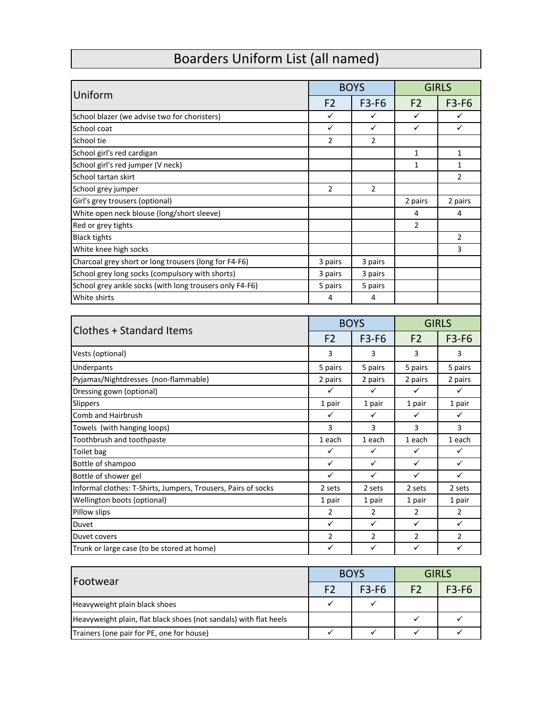## Boarders Uniform List (all named)

| Uniform                                                       |                | <b>BOYS</b>    |                | <b>GIRLS</b>   |  |
|---------------------------------------------------------------|----------------|----------------|----------------|----------------|--|
|                                                               | F <sub>2</sub> | F3-F6          | F <sub>2</sub> | <b>F3-F6</b>   |  |
| School blazer (we advise two for choristers)                  | ✓              | ✓              | $\checkmark$   |                |  |
| School coat                                                   | ✓              | ✓              | ✓              | ✓              |  |
| School tie                                                    | $\overline{2}$ | 2              |                |                |  |
| School girl's red cardigan                                    |                |                | 1              | 1              |  |
| School girl's red jumper (V neck)                             |                |                | $\mathbf{1}$   | $\mathbf 1$    |  |
| School tartan skirt                                           |                |                |                | 2              |  |
| School grey jumper                                            | 2              | 2              |                |                |  |
| Girl's grey trousers (optional)                               |                |                | 2 pairs        | 2 pairs        |  |
| White open neck blouse (long/short sleeve)                    |                |                | 4              | 4              |  |
| Red or grey tights                                            |                |                | $\overline{2}$ |                |  |
| <b>Black tights</b>                                           |                |                |                | $\overline{2}$ |  |
| White knee high socks                                         |                |                |                | 3              |  |
| Charcoal grey short or long trousers (long for F4-F6)         | 3 pairs        | 3 pairs        |                |                |  |
| School grey long socks (compulsory with shorts)               | 3 pairs        | 3 pairs        |                |                |  |
| School grey ankle socks (with long trousers only F4-F6)       | 5 pairs        | 5 pairs        |                |                |  |
| White shirts                                                  | 4              | 4              |                |                |  |
|                                                               |                |                |                |                |  |
|                                                               |                | <b>BOYS</b>    |                | <b>GIRLS</b>   |  |
| <b>Clothes + Standard Items</b>                               | F <sub>2</sub> | F3-F6          | F <sub>2</sub> | <b>F3-F6</b>   |  |
| Vests (optional)                                              | 3              | 3              | 3              | 3              |  |
| Underpants                                                    | 5 pairs        | 5 pairs        | 5 pairs        | 5 pairs        |  |
| Pyjamas/Nightdresses (non-flammable)                          | 2 pairs        | 2 pairs        | 2 pairs        | 2 pairs        |  |
| Dressing gown (optional)                                      | ✓              | $\checkmark$   | ✓              | ✓              |  |
| Slippers                                                      | 1 pair         | 1 pair         | 1 pair         | 1 pair         |  |
| Comb and Hairbrush                                            | ✓              | ✓              | ✓              | ✓              |  |
| Towels (with hanging loops)                                   | 3              | 3              | 3              | 3              |  |
| Toothbrush and toothpaste                                     | 1 each         | 1 each         | 1 each         | 1 each         |  |
| Toilet bag                                                    | ✓              | ✓              | ✓              | ✓              |  |
| Bottle of shampoo                                             | ✓              | $\checkmark$   | ✓              | $\checkmark$   |  |
| Bottle of shower gel                                          | ✓              | ✓              | ✓              | ✓              |  |
| Informal clothes: T-Shirts, Jumpers, Trousers, Pairs of socks | 2 sets         | 2 sets         | 2 sets         | 2 sets         |  |
| Wellington boots (optional)                                   | 1 pair         | 1 pair         | 1 pair         | 1 pair         |  |
| Pillow slips                                                  | $\overline{2}$ | 2              | $\overline{2}$ | $\overline{2}$ |  |
| Duvet                                                         | ✓              | $\checkmark$   | $\checkmark$   | $\checkmark$   |  |
| Duvet covers                                                  | $\overline{2}$ | $\overline{2}$ | $\overline{2}$ | $\overline{2}$ |  |
| Trunk or large case (to be stored at home)                    | $\checkmark$   | $\checkmark$   | ✓              | ✓              |  |
|                                                               |                |                |                |                |  |
|                                                               |                |                |                |                |  |

| Footwear                                                          | <b>BOYS</b>    |         | <b>GIRLS</b> |         |
|-------------------------------------------------------------------|----------------|---------|--------------|---------|
|                                                                   | F <sub>2</sub> | $F3-F6$ |              | $F3-F6$ |
| Heavyweight plain black shoes                                     |                |         |              |         |
| Heavyweight plain, flat black shoes (not sandals) with flat heels |                |         |              |         |
| Trainers (one pair for PE, one for house)                         |                |         |              |         |